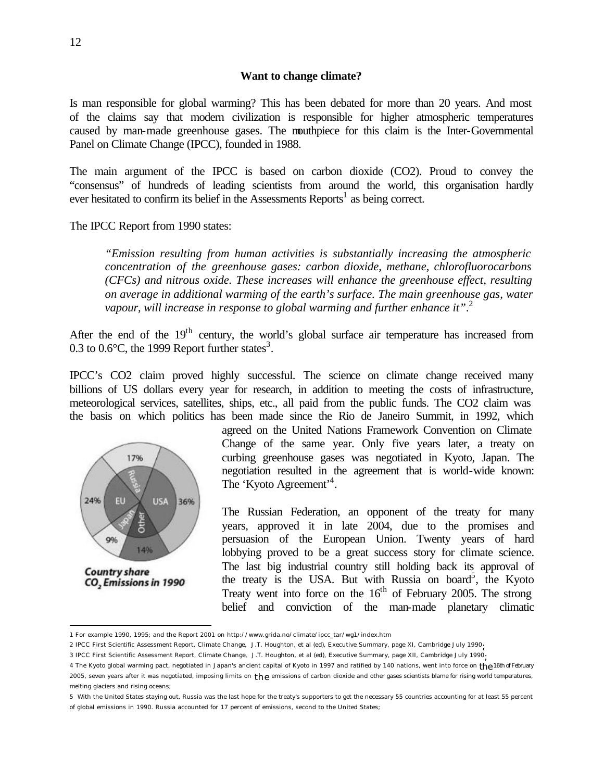### **Want to change climate?**

Is man responsible for global warming? This has been debated for more than 20 years. And most of the claims say that modern civilization is responsible for higher atmospheric temperatures caused by man-made greenhouse gases. The mouthpiece for this claim is the Inter-Governmental Panel on Climate Change (IPCC), founded in 1988.

The main argument of the IPCC is based on carbon dioxide (CO2). Proud to convey the "consensus" of hundreds of leading scientists from around the world, this organisation hardly ever hesitated to confirm its belief in the Assessments  $Reports<sup>1</sup>$  as being correct.

#### The IPCC Report from 1990 states:

*"Emission resulting from human activities is substantially increasing the atmospheric concentration of the greenhouse gases: carbon dioxide, methane, chlorofluorocarbons (CFCs) and nitrous oxide. These increases will enhance the greenhouse effect, resulting on average in additional warming of the earth's surface. The main greenhouse gas, water*  vapour, will increase in response to global warming and further enhance it".<sup>2</sup>

After the end of the 19<sup>th</sup> century, the world's global surface air temperature has increased from 0.3 to 0.6 $\degree$ C, the 1999 Report further states<sup>3</sup>.

IPCC's CO2 claim proved highly successful. The science on climate change received many billions of US dollars every year for research, in addition to meeting the costs of infrastructure, meteorological services, satellites, ships, etc., all paid from the public funds. The CO2 claim was the basis on which politics has been made since the Rio de Janeiro Summit, in 1992, which



 $\overline{a}$ 

agreed on the United Nations Framework Convention on Climate Change of the same year. Only five years later, a treaty on curbing greenhouse gases was negotiated in Kyoto, Japan. The negotiation resulted in the agreement that is world-wide known: The 'Kyoto Agreement'<sup>4</sup>.

The Russian Federation, an opponent of the treaty for many years, approved it in late 2004, due to the promises and persuasion of the European Union. Twenty years of hard lobbying proved to be a great success story for climate science. The last big industrial country still holding back its approval of the treaty is the USA. But with Russia on board<sup>5</sup>, the Kyoto Treaty went into force on the  $16<sup>th</sup>$  of February 2005. The strong belief and conviction of the man-made planetary climatic

<sup>1</sup> For example 1990, 1995; and the Report 2001 on http://www.grida.no/climate/ipcc\_tar/wg1/index.htm

<sup>2</sup> IPCC First Scientific Assessment Report, Climate Change, J.T. Houghton, et al (ed), Executive Summary, page XI, Cambridge July 1990;

<sup>3</sup> IPCC First Scientific Assessment Report, Climate Change, J.T. Houghton, et al (ed), Executive Summary, page XII, Cambridge July 1990;

<sup>4</sup> The Kyoto global warming pact, negotiated in Japan's ancient capital of Kyoto in 1997 and ratified by 140 nations, went into force on the 16th of February 2005, seven years after it was negotiated, imposing limits on  $\text{the}$  emissions of carbon dioxide and other gases scientists blame for rising world temperatures, melting glaciers and rising oceans;

<sup>5</sup> With the United States staying out, Russia was the last hope for the treaty's supporters to get the necessary 55 countries accounting for at least 55 percent of global emissions in 1990. Russia accounted for 17 percent of emissions, second to the United States;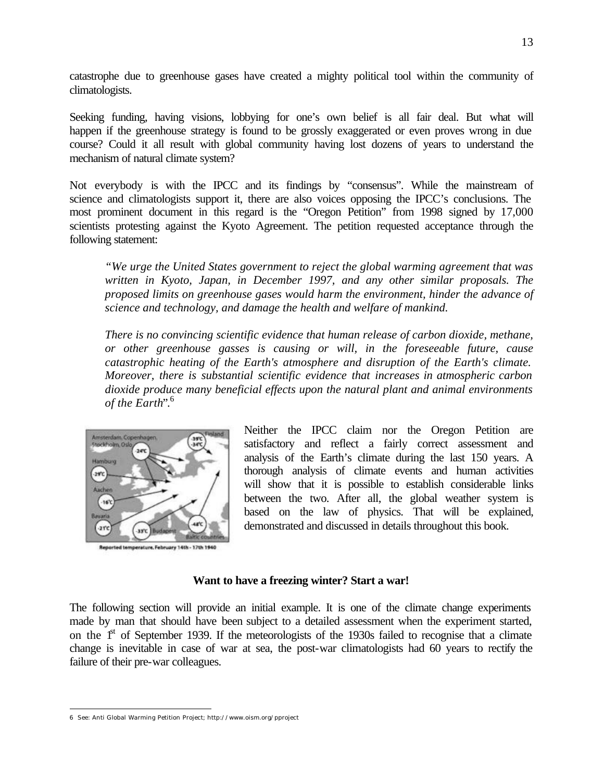catastrophe due to greenhouse gases have created a mighty political tool within the community of climatologists.

Seeking funding, having visions, lobbying for one's own belief is all fair deal. But what will happen if the greenhouse strategy is found to be grossly exaggerated or even proves wrong in due course? Could it all result with global community having lost dozens of years to understand the mechanism of natural climate system?

Not everybody is with the IPCC and its findings by "consensus". While the mainstream of science and climatologists support it, there are also voices opposing the IPCC's conclusions. The most prominent document in this regard is the "Oregon Petition" from 1998 signed by 17,000 scientists protesting against the Kyoto Agreement. The petition requested acceptance through the following statement:

*"We urge the United States government to reject the global warming agreement that was written in Kyoto, Japan, in December 1997, and any other similar proposals. The proposed limits on greenhouse gases would harm the environment, hinder the advance of science and technology, and damage the health and welfare of mankind.*

*There is no convincing scientific evidence that human release of carbon dioxide, methane, or other greenhouse gasses is causing or will, in the foreseeable future, cause catastrophic heating of the Earth's atmosphere and disruption of the Earth's climate. Moreover, there is substantial scientific evidence that increases in atmospheric carbon dioxide produce many beneficial effects upon the natural plant and animal environments of the Earth*".<sup>6</sup>



Reported temperature, February 14th - 17th 1940

Neither the IPCC claim nor the Oregon Petition are satisfactory and reflect a fairly correct assessment and analysis of the Earth's climate during the last 150 years. A thorough analysis of climate events and human activities will show that it is possible to establish considerable links between the two. After all, the global weather system is based on the law of physics. That will be explained, demonstrated and discussed in details throughout this book.

### **Want to have a freezing winter? Start a war!**

The following section will provide an initial example. It is one of the climate change experiments made by man that should have been subject to a detailed assessment when the experiment started, on the 1<sup>st</sup> of September 1939. If the meteorologists of the 1930s failed to recognise that a climate change is inevitable in case of war at sea, the post-war climatologists had 60 years to rectify the failure of their pre-war colleagues.

 $\overline{a}$ 

<sup>6</sup> See: Anti Global Warming Petition Project; http://www.oism.org/pproject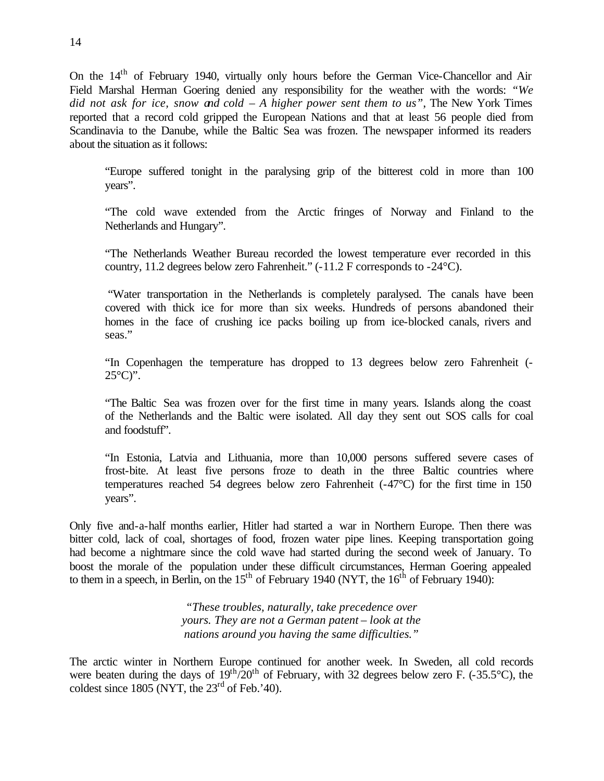On the 14<sup>th</sup> of February 1940, virtually only hours before the German Vice-Chancellor and Air Field Marshal Herman Goering denied any responsibility for the weather with the words: *"We did not ask for ice, snow and cold – A higher power sent them to us"*, The New York Times reported that a record cold gripped the European Nations and that at least 56 people died from Scandinavia to the Danube, while the Baltic Sea was frozen. The newspaper informed its readers about the situation as it follows:

"Europe suffered tonight in the paralysing grip of the bitterest cold in more than 100 years".

"The cold wave extended from the Arctic fringes of Norway and Finland to the Netherlands and Hungary".

"The Netherlands Weather Bureau recorded the lowest temperature ever recorded in this country, 11.2 degrees below zero Fahrenheit." (-11.2 F corresponds to -24°C).

 "Water transportation in the Netherlands is completely paralysed. The canals have been covered with thick ice for more than six weeks. Hundreds of persons abandoned their homes in the face of crushing ice packs boiling up from ice-blocked canals, rivers and seas."

"In Copenhagen the temperature has dropped to 13 degrees below zero Fahrenheit (-  $25^{\circ}$ C)".

"The Baltic Sea was frozen over for the first time in many years. Islands along the coast of the Netherlands and the Baltic were isolated. All day they sent out SOS calls for coal and foodstuff".

"In Estonia, Latvia and Lithuania, more than 10,000 persons suffered severe cases of frost-bite. At least five persons froze to death in the three Baltic countries where temperatures reached 54 degrees below zero Fahrenheit (-47°C) for the first time in 150 years".

Only five and-a-half months earlier, Hitler had started a war in Northern Europe. Then there was bitter cold, lack of coal, shortages of food, frozen water pipe lines. Keeping transportation going had become a nightmare since the cold wave had started during the second week of January. To boost the morale of the population under these difficult circumstances, Herman Goering appealed to them in a speech, in Berlin, on the  $15<sup>th</sup>$  of February 1940 (NYT, the  $16<sup>th</sup>$  of February 1940):

> *"These troubles, naturally, take precedence over yours. They are not a German patent – look at the nations around you having the same difficulties."*

The arctic winter in Northern Europe continued for another week. In Sweden, all cold records were beaten during the days of  $19^{th}/20^{th}$  of February, with 32 degrees below zero F. (-35.5°C), the coldest since  $1805$  (NYT, the  $23<sup>rd</sup>$  of Feb.'40).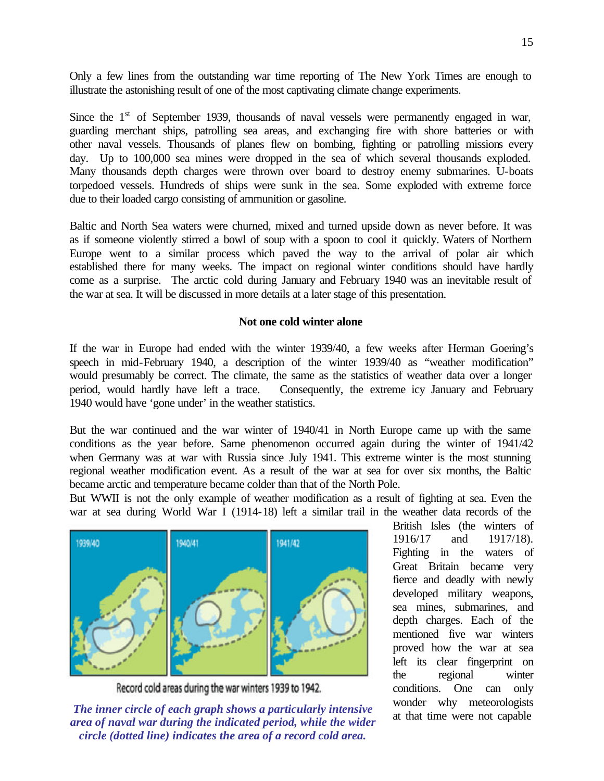Only a few lines from the outstanding war time reporting of The New York Times are enough to illustrate the astonishing result of one of the most captivating climate change experiments.

Since the  $1<sup>st</sup>$  of September 1939, thousands of naval vessels were permanently engaged in war, guarding merchant ships, patrolling sea areas, and exchanging fire with shore batteries or with other naval vessels. Thousands of planes flew on bombing, fighting or patrolling missions every day. Up to 100,000 sea mines were dropped in the sea of which several thousands exploded. Many thousands depth charges were thrown over board to destroy enemy submarines. U-boats torpedoed vessels. Hundreds of ships were sunk in the sea. Some exploded with extreme force due to their loaded cargo consisting of ammunition or gasoline.

Baltic and North Sea waters were churned, mixed and turned upside down as never before. It was as if someone violently stirred a bowl of soup with a spoon to cool it quickly. Waters of Northern Europe went to a similar process which paved the way to the arrival of polar air which established there for many weeks. The impact on regional winter conditions should have hardly come as a surprise. The arctic cold during January and February 1940 was an inevitable result of the war at sea. It will be discussed in more details at a later stage of this presentation.

# **Not one cold winter alone**

If the war in Europe had ended with the winter 1939/40, a few weeks after Herman Goering's speech in mid-February 1940, a description of the winter 1939/40 as "weather modification" would presumably be correct. The climate, the same as the statistics of weather data over a longer period, would hardly have left a trace. Consequently, the extreme icy January and February 1940 would have 'gone under' in the weather statistics.

But the war continued and the war winter of 1940/41 in North Europe came up with the same conditions as the year before. Same phenomenon occurred again during the winter of 1941/42 when Germany was at war with Russia since July 1941. This extreme winter is the most stunning regional weather modification event. As a result of the war at sea for over six months, the Baltic became arctic and temperature became colder than that of the North Pole.

But WWII is not the only example of weather modification as a result of fighting at sea. Even the war at sea during World War I (1914-18) left a similar trail in the weather data records of the



Record cold areas during the war winters 1939 to 1942.

The inner circle of each graph shows a particularly intensive would will include the individual control of the individual of the individual control and the individual control of the individual control and the individual co *area of naval war during the indicated period, while the wider circle (dotted line) indicates the area of a record cold area.*

British Isles (the winters of 1916/17 and 1917/18). Fighting in the waters of Great Britain became very fierce and deadly with newly developed military weapons, sea mines, submarines, and depth charges. Each of the mentioned five war winters proved how the war at sea left its clear fingerprint on the regional winter conditions. One can only wonder why meteorologists